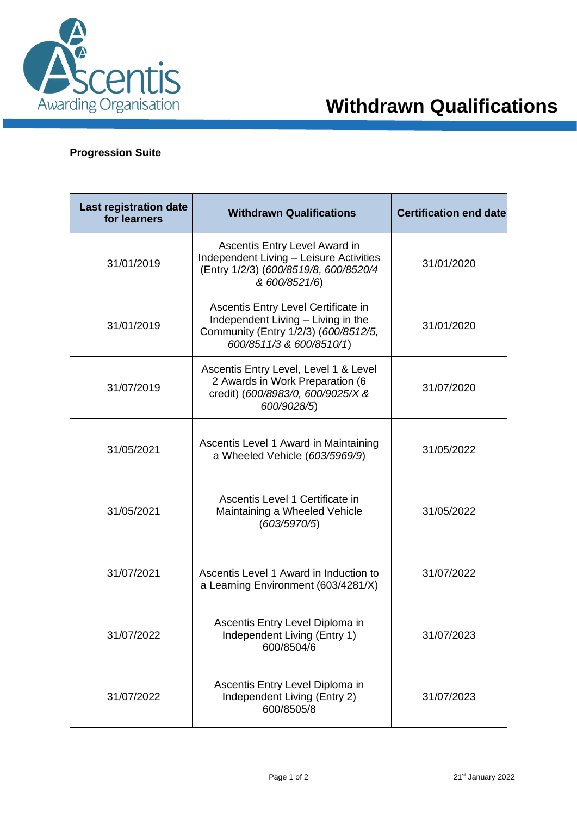

## **Progression Suite**

| Last registration date<br>for learners | <b>Withdrawn Qualifications</b>                                                                                                               | <b>Certification end date</b> |
|----------------------------------------|-----------------------------------------------------------------------------------------------------------------------------------------------|-------------------------------|
| 31/01/2019                             | Ascentis Entry Level Award in<br>Independent Living - Leisure Activities<br>(Entry 1/2/3) (600/8519/8, 600/8520/4<br>& 600/8521/6)            | 31/01/2020                    |
| 31/01/2019                             | Ascentis Entry Level Certificate in<br>Independent Living - Living in the<br>Community (Entry 1/2/3) (600/8512/5,<br>600/8511/3 & 600/8510/1) | 31/01/2020                    |
| 31/07/2019                             | Ascentis Entry Level, Level 1 & Level<br>2 Awards in Work Preparation (6<br>credit) (600/8983/0, 600/9025/X &<br>600/9028/5)                  | 31/07/2020                    |
| 31/05/2021                             | Ascentis Level 1 Award in Maintaining<br>a Wheeled Vehicle (603/5969/9)                                                                       | 31/05/2022                    |
| 31/05/2021                             | Ascentis Level 1 Certificate in<br>Maintaining a Wheeled Vehicle<br>(603/5970/5)                                                              | 31/05/2022                    |
| 31/07/2021                             | Ascentis Level 1 Award in Induction to<br>a Learning Environment (603/4281/X)                                                                 | 31/07/2022                    |
| 31/07/2022                             | Ascentis Entry Level Diploma in<br>Independent Living (Entry 1)<br>600/8504/6                                                                 | 31/07/2023                    |
| 31/07/2022                             | Ascentis Entry Level Diploma in<br>Independent Living (Entry 2)<br>600/8505/8                                                                 | 31/07/2023                    |